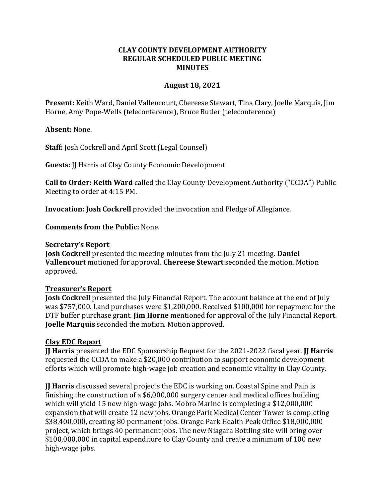## **CLAY COUNTY DEVELOPMENT AUTHORITY REGULAR SCHEDULED PUBLIC MEETING MINUTES**

## **August 18, 2021**

**Present:** Keith Ward, Daniel Vallencourt, Chereese Stewart, Tina Clary, Joelle Marquis, Jim Horne, Amy Pope-Wells (teleconference), Bruce Butler (teleconference)

**Absent:** None.

**Staff:** Josh Cockrell and April Scott (Legal Counsel)

**Guests:** JJ Harris of Clay County Economic Development

**Call to Order: Keith Ward** called the Clay County Development Authority ("CCDA") Public Meeting to order at 4:15 PM.

**Invocation: Josh Cockrell** provided the invocation and Pledge of Allegiance.

**Comments from the Public:** None.

#### **Secretary's Report**

**Josh Cockrell** presented the meeting minutes from the July 21 meeting. **Daniel Vallencourt** motioned for approval. **Chereese Stewart** seconded the motion. Motion approved.

## **Treasurer's Report**

**Josh Cockrell** presented the July Financial Report. The account balance at the end of July was \$757,000. Land purchases were \$1,200,000. Received \$100,000 for repayment for the DTF buffer purchase grant. **Jim Horne** mentioned for approval of the July Financial Report. **Joelle Marquis** seconded the motion. Motion approved.

## **Clay EDC Report**

**JJ Harris** presented the EDC Sponsorship Request for the 2021-2022 fiscal year. **JJ Harris** requested the CCDA to make a \$20,000 contribution to support economic development efforts which will promote high-wage job creation and economic vitality in Clay County.

**JJ Harris** discussed several projects the EDC is working on. Coastal Spine and Pain is finishing the construction of a \$6,000,000 surgery center and medical offices building which will yield 15 new high-wage jobs. Mobro Marine is completing a \$12,000,000 expansion that will create 12 new jobs. Orange Park Medical Center Tower is completing \$38,400,000, creating 80 permanent jobs. Orange Park Health Peak Office \$18,000,000 project, which brings 40 permanent jobs. The new Niagara Bottling site will bring over \$100,000,000 in capital expenditure to Clay County and create a minimum of 100 new high-wage jobs.